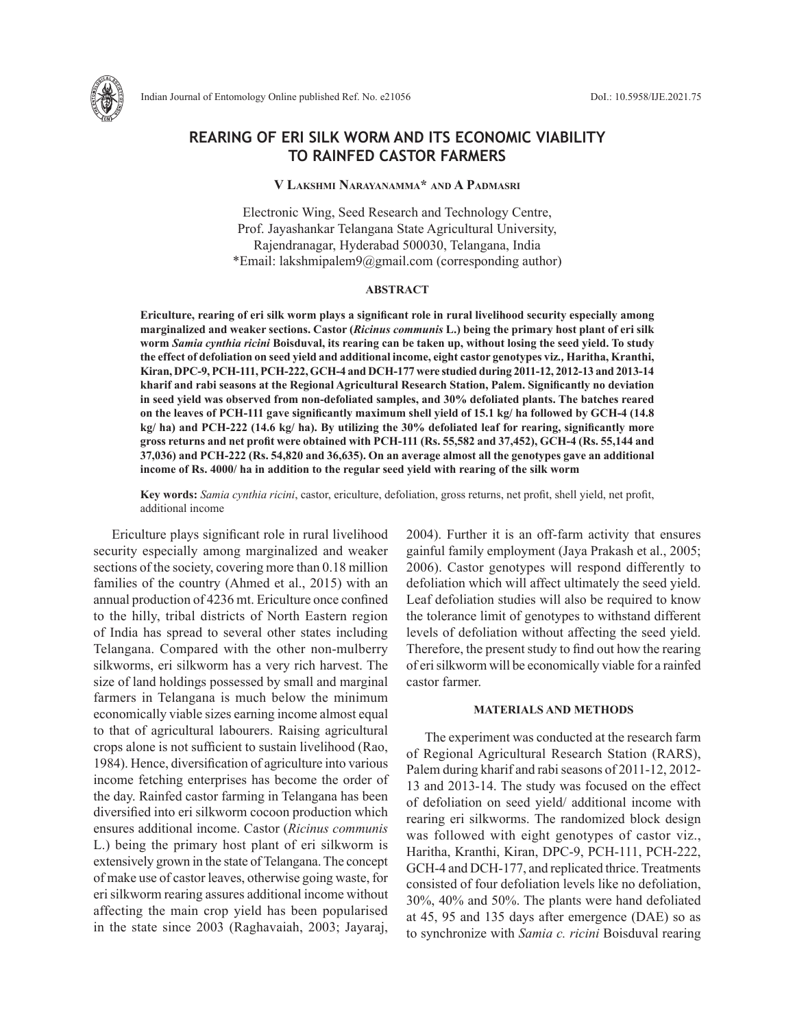

# **REARING OF ERI SILK WORM AND ITS ECONOMIC VIABILITY TO RAINFED CASTOR FARMERS**

## **V Lakshmi Narayanamma\* and A Padmasri**

Electronic Wing, Seed Research and Technology Centre, Prof. Jayashankar Telangana State Agricultural University, Rajendranagar, Hyderabad 500030, Telangana, India \*Email: lakshmipalem9@gmail.com (corresponding author)

#### **ABSTRACT**

**Ericulture, rearing of eri silk worm plays a significant role in rural livelihood security especially among marginalized and weaker sections. Castor (***Ricinus communis* **L.) being the primary host plant of eri silk worm** *Samia cynthia ricini* **Boisduval, its rearing can be taken up, without losing the seed yield. To study the effect of defoliation on seed yield and additional income, eight castor genotypes viz***.,* **Haritha, Kranthi, Kiran, DPC-9, PCH-111, PCH-222, GCH-4 and DCH-177 were studied during 2011-12, 2012-13 and 2013-14 kharif and rabi seasons at the Regional Agricultural Research Station, Palem. Significantly no deviation in seed yield was observed from non-defoliated samples, and 30% defoliated plants. The batches reared on the leaves of PCH-111 gave significantly maximum shell yield of 15.1 kg/ ha followed by GCH-4 (14.8 kg/ ha) and PCH-222 (14.6 kg/ ha). By utilizing the 30% defoliated leaf for rearing, significantly more gross returns and net profit were obtained with PCH-111 (Rs. 55,582 and 37,452), GCH-4 (Rs. 55,144 and 37,036) and PCH-222 (Rs. 54,820 and 36,635). On an average almost all the genotypes gave an additional income of Rs. 4000/ ha in addition to the regular seed yield with rearing of the silk worm**

**Key words:** *Samia cynthia ricini*, castor, ericulture, defoliation, gross returns, net profit, shell yield, net profit, additional income

Ericulture plays significant role in rural livelihood security especially among marginalized and weaker sections of the society, covering more than 0.18 million families of the country (Ahmed et al., 2015) with an annual production of 4236 mt. Ericulture once confined to the hilly, tribal districts of North Eastern region of India has spread to several other states including Telangana. Compared with the other non-mulberry silkworms, eri silkworm has a very rich harvest. The size of land holdings possessed by small and marginal farmers in Telangana is much below the minimum economically viable sizes earning income almost equal to that of agricultural labourers. Raising agricultural crops alone is not sufficient to sustain livelihood (Rao, 1984). Hence, diversification of agriculture into various income fetching enterprises has become the order of the day. Rainfed castor farming in Telangana has been diversified into eri silkworm cocoon production which ensures additional income. Castor (*Ricinus communis* L.) being the primary host plant of eri silkworm is extensively grown in the state of Telangana. The concept of make use of castor leaves, otherwise going waste, for eri silkworm rearing assures additional income without affecting the main crop yield has been popularised in the state since 2003 (Raghavaiah, 2003; Jayaraj,

2004). Further it is an off-farm activity that ensures gainful family employment (Jaya Prakash et al., 2005; 2006). Castor genotypes will respond differently to defoliation which will affect ultimately the seed yield. Leaf defoliation studies will also be required to know the tolerance limit of genotypes to withstand different levels of defoliation without affecting the seed yield. Therefore, the present study to find out how the rearing of eri silkworm will be economically viable for a rainfed castor farmer.

### **MATERIALS AND METHODS**

The experiment was conducted at the research farm of Regional Agricultural Research Station (RARS), Palem during kharif and rabi seasons of 2011-12, 2012- 13 and 2013-14. The study was focused on the effect of defoliation on seed yield/ additional income with rearing eri silkworms. The randomized block design was followed with eight genotypes of castor viz., Haritha, Kranthi, Kiran, DPC-9, PCH-111, PCH-222, GCH-4 and DCH-177, and replicated thrice. Treatments consisted of four defoliation levels like no defoliation, 30%, 40% and 50%. The plants were hand defoliated at 45, 95 and 135 days after emergence (DAE) so as to synchronize with *Samia c. ricini* Boisduval rearing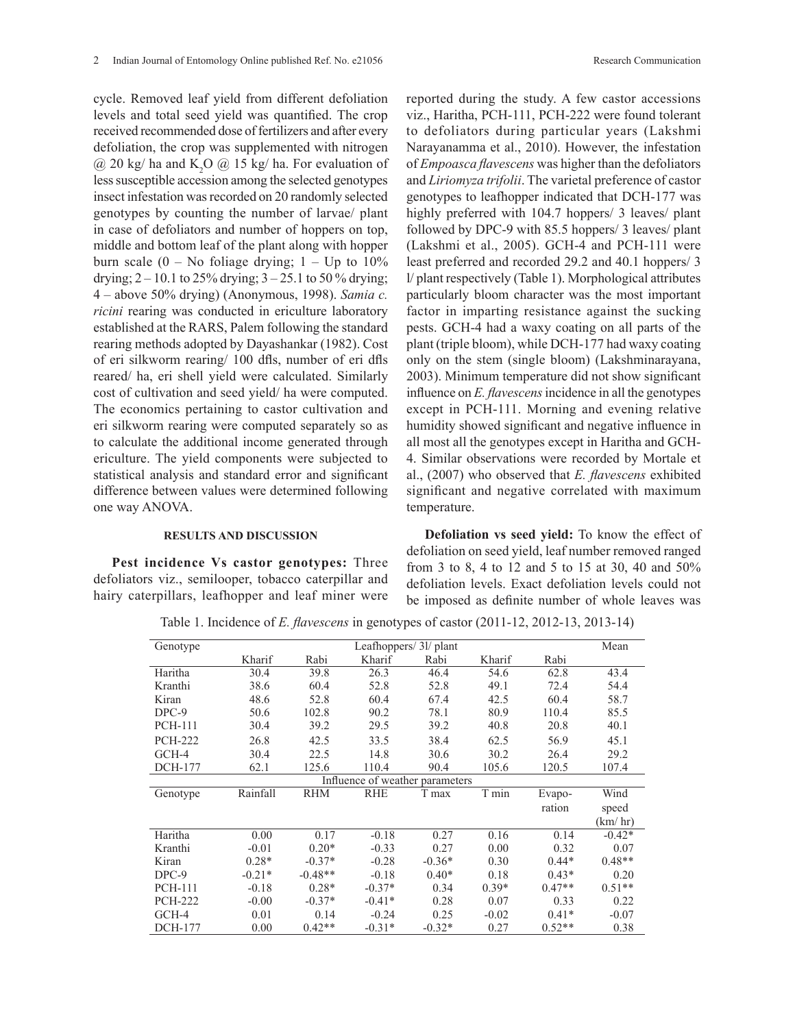cycle. Removed leaf yield from different defoliation levels and total seed yield was quantified. The crop received recommended dose of fertilizers and after every defoliation, the crop was supplemented with nitrogen  $@ 20 \text{ kg/ha}$  and  $K_2O @ 15 \text{ kg/ha}$ . For evaluation of less susceptible accession among the selected genotypes insect infestation was recorded on 20 randomly selected genotypes by counting the number of larvae/ plant in case of defoliators and number of hoppers on top, middle and bottom leaf of the plant along with hopper burn scale  $(0 - No)$  foliage drying;  $1 - Up$  to  $10\%$ drying;  $2 - 10.1$  to 25% drying;  $3 - 25.1$  to 50% drying; 4 – above 50% drying) (Anonymous, 1998). *Samia c. ricini* rearing was conducted in ericulture laboratory established at the RARS, Palem following the standard rearing methods adopted by Dayashankar (1982). Cost of eri silkworm rearing/ 100 dfls, number of eri dfls reared/ ha, eri shell yield were calculated. Similarly cost of cultivation and seed yield/ ha were computed. The economics pertaining to castor cultivation and eri silkworm rearing were computed separately so as to calculate the additional income generated through ericulture. The yield components were subjected to statistical analysis and standard error and significant difference between values were determined following one way ANOVA.

reported during the study. A few castor accessions viz., Haritha, PCH-111, PCH-222 were found tolerant to defoliators during particular years (Lakshmi Narayanamma et al., 2010). However, the infestation of *Empoasca flavescens* was higher than the defoliators and *Liriomyza trifolii*. The varietal preference of castor genotypes to leafhopper indicated that DCH-177 was highly preferred with 104.7 hoppers/ 3 leaves/ plant followed by DPC-9 with 85.5 hoppers/ 3 leaves/ plant (Lakshmi et al., 2005). GCH-4 and PCH-111 were least preferred and recorded 29.2 and 40.1 hoppers/ 3 l/ plant respectively (Table 1). Morphological attributes particularly bloom character was the most important factor in imparting resistance against the sucking pests. GCH-4 had a waxy coating on all parts of the plant (triple bloom), while DCH-177 had waxy coating only on the stem (single bloom) (Lakshminarayana, 2003). Minimum temperature did not show significant influence on *E. flavescens* incidence in all the genotypes except in PCH-111. Morning and evening relative humidity showed significant and negative influence in all most all the genotypes except in Haritha and GCH-4. Similar observations were recorded by Mortale et al., (2007) who observed that *E. flavescens* exhibited significant and negative correlated with maximum temperature.

## **RESULTS AND DISCUSSION**

**Pest incidence Vs castor genotypes:** Three defoliators viz., semilooper, tobacco caterpillar and hairy caterpillars, leafhopper and leaf miner were

**Defoliation vs seed yield:** To know the effect of defoliation on seed yield, leaf number removed ranged from 3 to 8, 4 to 12 and 5 to 15 at 30, 40 and 50% defoliation levels. Exact defoliation levels could not be imposed as definite number of whole leaves was

| Table 1. Incidence of <i>E. flavescens</i> in genotypes of castor (2011-12, 2012-13, 2013-14) |  |  |  |
|-----------------------------------------------------------------------------------------------|--|--|--|

| Genotype       |          |            | Leafhoppers/ 3l/ plant          |          |         |          | Mean     |
|----------------|----------|------------|---------------------------------|----------|---------|----------|----------|
|                | Kharif   | Rabi       | Kharif                          | Rabi     | Kharif  | Rabi     |          |
| Haritha        | 30.4     | 39.8       | 26.3                            | 46.4     | 54.6    | 62.8     | 43.4     |
| Kranthi        | 38.6     | 60.4       | 52.8                            | 52.8     | 49.1    | 72.4     | 54.4     |
| Kiran          | 48.6     | 52.8       | 60.4                            | 67.4     | 42.5    | 60.4     | 58.7     |
| $DPC-9$        | 50.6     | 102.8      | 90.2                            | 78.1     | 80.9    | 110.4    | 85.5     |
| <b>PCH-111</b> | 30.4     | 39.2       | 29.5                            | 39.2     | 40.8    | 20.8     | 40.1     |
| <b>PCH-222</b> | 26.8     | 42.5       | 33.5                            | 38.4     | 62.5    | 56.9     | 45.1     |
| $GCH-4$        | 30.4     | 22.5       | 14.8                            | 30.6     | 30.2    | 26.4     | 29.2     |
| <b>DCH-177</b> | 62.1     | 125.6      | 110.4                           | 90.4     | 105.6   | 120.5    | 107.4    |
|                |          |            | Influence of weather parameters |          |         |          |          |
| Genotype       | Rainfall | <b>RHM</b> | <b>RHE</b>                      | T max    | T min   | Evapo-   | Wind     |
|                |          |            |                                 |          |         | ration   | speed    |
|                |          |            |                                 |          |         |          | (km/hr)  |
| Haritha        | 0.00     | 0.17       | $-0.18$                         | 0.27     | 0.16    | 0.14     | $-0.42*$ |
| Kranthi        | $-0.01$  | $0.20*$    | $-0.33$                         | 0.27     | 0.00    | 0.32     | 0.07     |
| Kiran          | $0.28*$  | $-0.37*$   | $-0.28$                         | $-0.36*$ | 0.30    | $0.44*$  | $0.48**$ |
| $DPC-9$        | $-0.21*$ | $-0.48**$  | $-0.18$                         | $0.40*$  | 0.18    | $0.43*$  | 0.20     |
| <b>PCH-111</b> | $-0.18$  | $0.28*$    | $-0.37*$                        | 0.34     | $0.39*$ | $0.47**$ | $0.51**$ |
| <b>PCH-222</b> | $-0.00$  | $-0.37*$   | $-0.41*$                        | 0.28     | 0.07    | 0.33     | 0.22     |
| $GCH-4$        | 0.01     | 0.14       | $-0.24$                         | 0.25     | $-0.02$ | $0.41*$  | $-0.07$  |
| <b>DCH-177</b> | 0.00     | $0.42**$   | $-0.31*$                        | $-0.32*$ | 0.27    | $0.52**$ | 0.38     |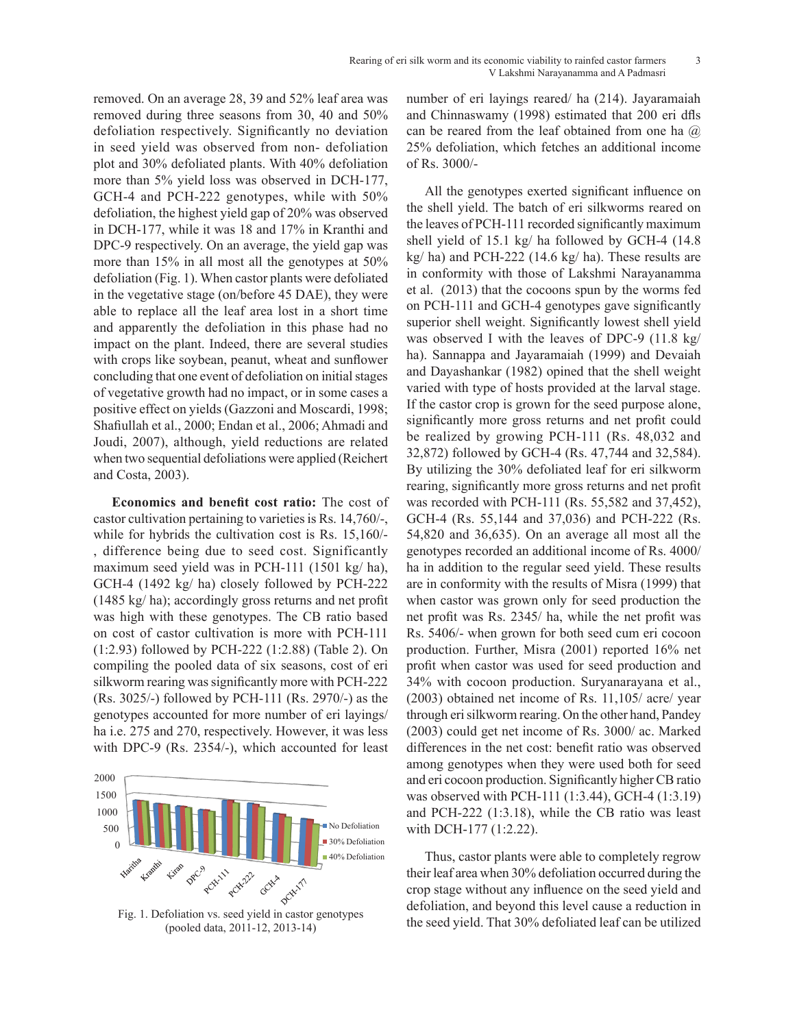removed. On an average 28, 39 and 52% leaf area was removed during three seasons from 30, 40 and 50% defoliation respectively. Significantly no deviation in seed yield was observed from non- defoliation plot and 30% defoliated plants. With 40% defoliation more than 5% yield loss was observed in DCH-177, GCH-4 and PCH-222 genotypes, while with 50% defoliation, the highest yield gap of 20% was observed in DCH-177, while it was 18 and 17% in Kranthi and DPC-9 respectively. On an average, the yield gap was more than 15% in all most all the genotypes at 50% defoliation (Fig. 1). When castor plants were defoliated in the vegetative stage (on/before 45 DAE), they were able to replace all the leaf area lost in a short time and apparently the defoliation in this phase had no impact on the plant. Indeed, there are several studies with crops like soybean, peanut, wheat and sunflower concluding that one event of defoliation on initial stages of vegetative growth had no impact, or in some cases a positive effect on yields (Gazzoni and Moscardi, 1998; Shafiullah et al., 2000; Endan et al., 2006; Ahmadi and Joudi, 2007), although, yield reductions are related when two sequential defoliations were applied (Reichert and Costa, 2003).

**Economics and benefit cost ratio:** The cost of castor cultivation pertaining to varieties is Rs.  $14,760/$ -, C while for hybrids the cultivation cost is Rs.  $15,160/5$ . 54 while for hydrids are cannot best is risk,  $1.21, 1.20$ , difference being due to seed cost. Significantly go maximum seed yield was in PCH-111 (1501 kg/ ha), l GCH-4 (1492  $\text{kg}/\text{ha}$ ) closely followed by PCH-222 (1485 kg/ ha); accordingly gross returns and net profit was high with these genotypes. The CB ratio based on cost of castor cultivation is more with PCH-111  $(1:2.93)$  followed by PCH-222  $(1:2.88)$  (Table 2). On compiling the pooled data of six seasons, cost of eri silkworm rearing was significantly more with PCH-222  $(Rs. 3025/-)$  followed by PCH-111  $(Rs. 2970/-)$  as the genotypes accounted for more number of eri layings/ ha i.e. 275 and 270, respectively. However, it was less with DPC-9 (Rs.  $2354/-$ ), which accounted for least , difference being due to seed cost. Significantly gen was ingu with these genotypes. The  $CD$  ratio based  $(Ks. 5023/-)$  followed by PCH-111  $(Ks. 2970/-)$  as the



Fig. 1. Defoliation vs. seed yield in castor genotypes (pooled data, 2011-12, 2013-14)

number of eri layings reared/ ha (214). Jayaramaiah and Chinnaswamy (1998) estimated that 200 eri dfls can be reared from the leaf obtained from one ha  $\omega$ 25% defoliation, which fetches an additional income of Rs. 3000/-

All the genotypes exerted significant influence on the shell yield. The batch of eri silkworms reared on the leaves of PCH-111 recorded significantly maximum shell yield of 15.1 kg/ ha followed by GCH-4 (14.8 kg/ ha) and PCH-222 (14.6 kg/ ha). These results are in conformity with those of Lakshmi Narayanamma et al. (2013) that the cocoons spun by the worms fed on PCH-111 and GCH-4 genotypes gave significantly superior shell weight. Significantly lowest shell yield was observed I with the leaves of DPC-9 (11.8 kg/ ha). Sannappa and Jayaramaiah (1999) and Devaiah and Dayashankar (1982) opined that the shell weight varied with type of hosts provided at the larval stage. If the castor crop is grown for the seed purpose alone, significantly more gross returns and net profit could be realized by growing PCH-111 (Rs. 48,032 and 32,872) followed by GCH-4 (Rs. 47,744 and 32,584). By utilizing the 30% defoliated leaf for eri silkworm rearing, significantly more gross returns and net profit was recorded with PCH-111 (Rs. 55,582 and 37,452), GCH-4 (Rs. 55,144 and 37,036) and PCH-222 (Rs. 54,820 and 36,635). On an average all most all the genotypes recorded an additional income of Rs. 4000/ ha in addition to the regular seed yield. These results are in conformity with the results of Misra (1999) that when castor was grown only for seed production the net profit was Rs. 2345/ ha, while the net profit was Rs. 5406/- when grown for both seed cum eri cocoon production. Further, Misra (2001) reported 16% net profit when castor was used for seed production and 34% with cocoon production. Suryanarayana et al., (2003) obtained net income of Rs. 11,105/ acre/ year through eri silkworm rearing. On the other hand, Pandey (2003) could get net income of Rs. 3000/ ac. Marked differences in the net cost: benefit ratio was observed among genotypes when they were used both for seed and eri cocoon production. Significantly higher CB ratio was observed with PCH-111 (1:3.44), GCH-4 (1:3.19) and PCH-222 (1:3.18), while the CB ratio was least with DCH-177 (1:2.22).

Thus, castor plants were able to completely regrow their leaf area when 30% defoliation occurred during the crop stage without any influence on the seed yield and defoliation, and beyond this level cause a reduction in the seed yield. That 30% defoliated leaf can be utilized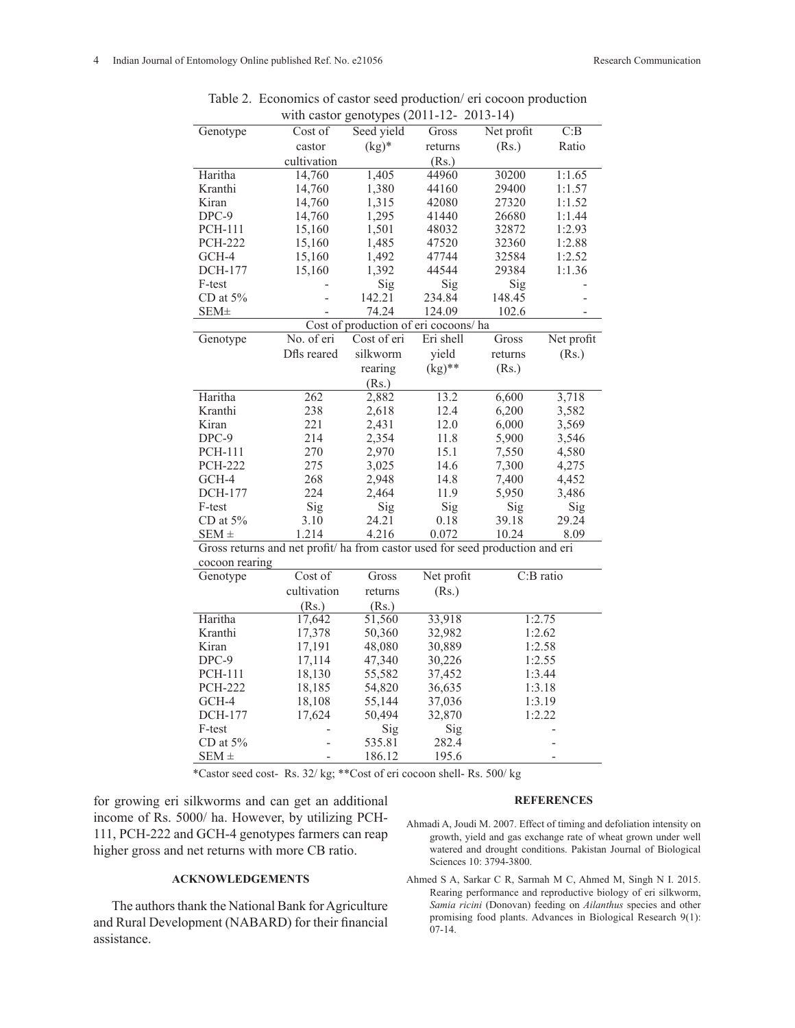$\overline{a}$ l.

l.

| with castor genotypes $(2011-12-2013-14)$                                     |                         |             |            |             |                  |  |  |  |
|-------------------------------------------------------------------------------|-------------------------|-------------|------------|-------------|------------------|--|--|--|
| Genotype                                                                      | Cost of                 | Seed yield  | Gross      | Net profit  | $\overline{C:B}$ |  |  |  |
|                                                                               | castor                  | $(kg)^*$    | returns    | (Rs.)       | Ratio            |  |  |  |
|                                                                               | cultivation             |             | (Rs.)      |             |                  |  |  |  |
| Haritha                                                                       | 14,760                  | 1,405       | 44960      | 30200       | 1:1.65           |  |  |  |
| Kranthi                                                                       | 14,760                  | 1,380       | 44160      | 29400       | 1:1.57           |  |  |  |
| Kiran                                                                         | 14,760                  | 1,315       | 42080      | 27320       | 1:1.52           |  |  |  |
| DPC-9                                                                         | 14,760                  | 1,295       | 41440      | 26680       | 1:1.44           |  |  |  |
| <b>PCH-111</b>                                                                | 15,160                  | 1,501       | 48032      | 32872       | 1:2.93           |  |  |  |
| <b>PCH-222</b>                                                                | 15,160                  | 1,485       | 47520      | 32360       | 1:2.88           |  |  |  |
| GCH-4                                                                         | 15,160                  | 1,492       | 47744      | 32584       | 1:2.52           |  |  |  |
| <b>DCH-177</b>                                                                | 15,160                  | 1,392       | 44544      | 29384       | 1:1.36           |  |  |  |
| F-test                                                                        |                         | Sig         | Sig        | Sig         |                  |  |  |  |
| CD at 5%                                                                      |                         | 142.21      | 234.84     | 148.45      |                  |  |  |  |
| <b>SEM</b> ±                                                                  |                         | 74.24       | 124.09     | 102.6       |                  |  |  |  |
| Cost of production of eri cocoons/ha                                          |                         |             |            |             |                  |  |  |  |
| Genotype                                                                      | $\overline{No. of}$ eri | Cost of eri | Eri shell  | Gross       | Net profit       |  |  |  |
|                                                                               | Dfls reared             | silkworm    | yield      | returns     | (Rs.)            |  |  |  |
|                                                                               |                         | rearing     | $(kg)$ **  | (Rs.)       |                  |  |  |  |
|                                                                               |                         | (Rs.)       |            |             |                  |  |  |  |
| Haritha                                                                       | $\overline{262}$        | 2,882       | 13.2       | 6,600       | 3,718            |  |  |  |
| Kranthi                                                                       | 238                     | 2,618       | 12.4       | 6,200       | 3,582            |  |  |  |
| Kiran                                                                         | 221                     | 2,431       | 12.0       | 6,000       | 3,569            |  |  |  |
| DPC-9                                                                         | 214                     | 2,354       | 11.8       | 5,900       | 3,546            |  |  |  |
| <b>PCH-111</b>                                                                | 270                     | 2,970       | 15.1       | 7,550       | 4,580            |  |  |  |
| <b>PCH-222</b>                                                                | 275                     | 3,025       | 14.6       | 7,300       | 4,275            |  |  |  |
| GCH-4                                                                         | 268                     | 2,948       | 14.8       | 7,400       | 4,452            |  |  |  |
| <b>DCH-177</b>                                                                | 224                     | 2,464       | 11.9       | 5,950       | 3,486            |  |  |  |
| F-test                                                                        | Sig                     | Sig         | Sig        | Sig         | Sig              |  |  |  |
| CD at 5%                                                                      | 3.10                    | 24.21       | 0.18       | 39.18       | 29.24            |  |  |  |
| $SEM \pm$                                                                     | 1.214                   | 4.216       | 0.072      | 10.24       | 8.09             |  |  |  |
| Gross returns and net profit/ ha from castor used for seed production and eri |                         |             |            |             |                  |  |  |  |
| cocoon rearing                                                                |                         |             |            |             |                  |  |  |  |
| Genotype                                                                      | Cost of                 | Gross       | Net profit | $C:B$ ratio |                  |  |  |  |
|                                                                               | cultivation             | returns     | (Rs.)      |             |                  |  |  |  |
|                                                                               | (Rs.)                   | (Rs.)       |            |             |                  |  |  |  |
| Haritha                                                                       | 17,642                  | 51,560      | 33,918     | 1:2.75      |                  |  |  |  |
| Kranthi                                                                       | 17,378                  | 50,360      | 32,982     | 1:2.62      |                  |  |  |  |
| Kiran                                                                         | 17,191                  | 48,080      | 30,889     | 1:2.58      |                  |  |  |  |
| $DPC-9$                                                                       | 17,114                  | 47,340      | 30,226     | 1:2.55      |                  |  |  |  |
| <b>PCH-111</b>                                                                | 18,130                  | 55,582      | 37,452     | 1:3.44      |                  |  |  |  |
| <b>PCH-222</b>                                                                | 18,185                  | 54,820      | 36,635     | 1:3.18      |                  |  |  |  |
| GCH-4                                                                         | 18,108                  | 55,144      | 37,036     | 1:3.19      |                  |  |  |  |
| <b>DCH-177</b>                                                                | 17,624                  | 50,494      | 32,870     | 1:2.22      |                  |  |  |  |
| F-test                                                                        |                         | Sig         | Sig        |             |                  |  |  |  |
| CD at $5\%$                                                                   |                         | 535.81      | 282.4      |             |                  |  |  |  |
| $SEM \pm$                                                                     |                         | 186.12      | 195.6      |             |                  |  |  |  |

Table 2.Economics of castor seed production/ eri cocoon production

\*Castor seed cost- Rs. 32/ kg; \*\*Cost of eri cocoon shell- Rs. 500/ kg

for growing eri silkworms and can get an additional income of Rs. 5000/ ha. However, by utilizing PCH-111, PCH-222 and GCH-4 genotypes farmers can reap higher gross and net returns with more CB ratio.

## **ACKNOWLEDGEMENTS**

The authors thank the National Bank for Agriculture and Rural Development (NABARD) for their financial assistance.

#### **REFERENCES**

- Ahmadi A, Joudi M. 2007. Effect of timing and defoliation intensity on growth, yield and gas exchange rate of wheat grown under well watered and drought conditions. Pakistan Journal of Biological Sciences 10: 3794-3800.
- Ahmed S A, Sarkar C R, Sarmah M C, Ahmed M, Singh N I. 2015. Rearing performance and reproductive biology of eri silkworm, *Samia ricini* (Donovan) feeding on *Ailanthus* species and other promising food plants. Advances in Biological Research 9(1): 07-14.